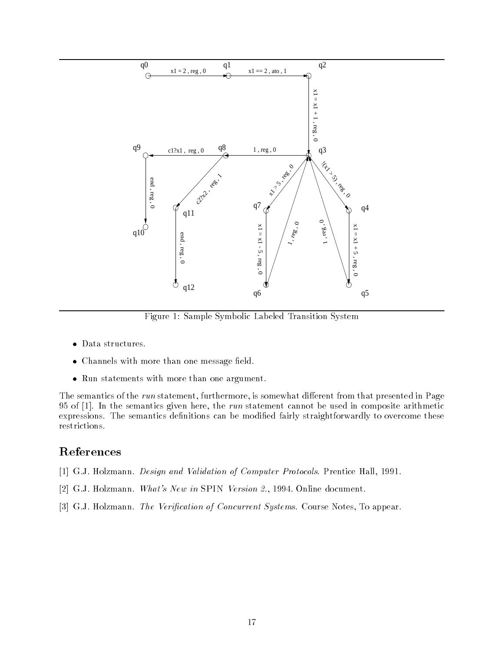

Figure 1: Sample Symbolic Labeled Transition System

- $\bullet$  Data structures.
- $\bullet\,$  Channels with more than one message neld.  $\,$
- $\bullet\,$  Kun statements with more than one argument.  $\,$

The semantics of the run statement, furthermore, is somewhat different from that presented in Page 95 of  $[1]$ . In the semantics given here, the *run* statement cannot be used in composite arithmetic expressions. The semantics definitions can be modified fairly straightforwardly to overcome these restrictions.

# References

- [1] G.J. Holzmann. Design and Validation of Computer Protocols. Prentice Hall, 1991.
- [2] G.J. Holzmann. What's New in SPIN Version 2., 1994. Online document.
- [3] G.J. Holzmann. The Verification of Concurrent Systems. Course Notes, To appear.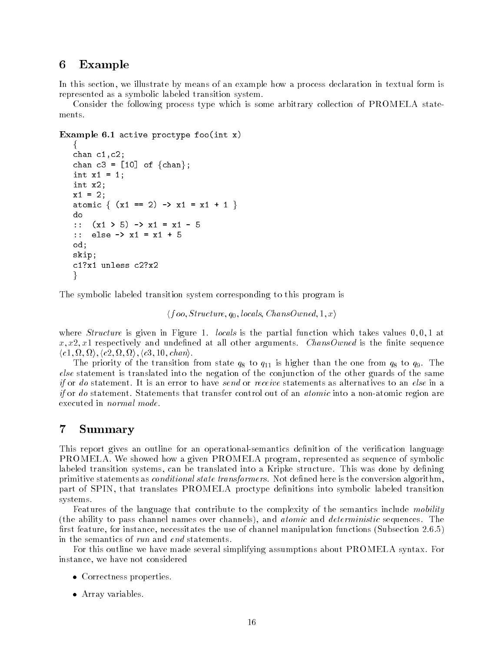# <sup>6</sup> Example

In this section, we illustrate by means of an example how a process declaration in textual form is represented as a symbolic labeled transition system.

Consider the following process type which is some arbitrary collection of PROMELA statements.

### Example 6.1 active proctype foo $(int x)$

```
f
chan c1,c2;
chan c3 = [10] of {\text{chan}};
int x1 = 1;
int x2;
x1 = 2;atomic \{ (x1 == 2) \rightarrow x1 = x1 + 1 \}do
:: (x1 > 5) -> x1 = x1 - 5
:: else -> x1 = x1 + 5
od;
skip;
c1?x1 unless c2?x2
\}
```
The symbolic labeled transition system corresponding to this program is

 $\langle foo, Structure, q_0, \text{locals}, \text{ChansOwned}, 1, x \rangle$ 

where *Structure* is given in Figure 1. *locals* is the partial function which takes values  $0, 0, 1$  at  $x, x2, x1$  respectively and undefined at all other arguments. *ChansOwned* is the finite sequence  $\langle c1,\Omega,\Omega\rangle, \langle c2,\Omega,\Omega\rangle, \langle c3,10,chan\rangle.$ 

The priority of the transition from state  $q_8$  to  $q_{11}$  is higher than the one from  $q_8$  to  $q_9$ . The else statement is translated into the negation of the conjunction of the other guards of the same if or do statement. It is an error to have send or receive statements as alternatives to an else in a if or do statement. Statements that transfer control out of an *atomic* into a non-atomic region are executed in normal mode.

## <sup>7</sup> Summary

This report gives an outline for an operational-semantics definition of the verification language PROMELA. We showed how a given PROMELA program, represented as sequence of symbolic labeled transition systems, can be translated into a Kripke structure. This was done by defining primitive statements as *conditional state transformers*. Not defined here is the conversion algorithm, part of SPIN, that translates PROMELA proctype denitions into symbolic labeled transition systems.

Features of the language that contribute to the complexity of the semantics include mobility (the ability to pass channel names over channels), and atomic and deterministic sequences. The first feature, for instance, necessitates the use of channel manipulation functions (Subsection 2.6.5) in the semantics of run and end statements.

For this outline we have made several simplifying assumptions about PROMELA syntax. For instance, we have not considered

- $\bullet$  Correctness properties.
- Array variables.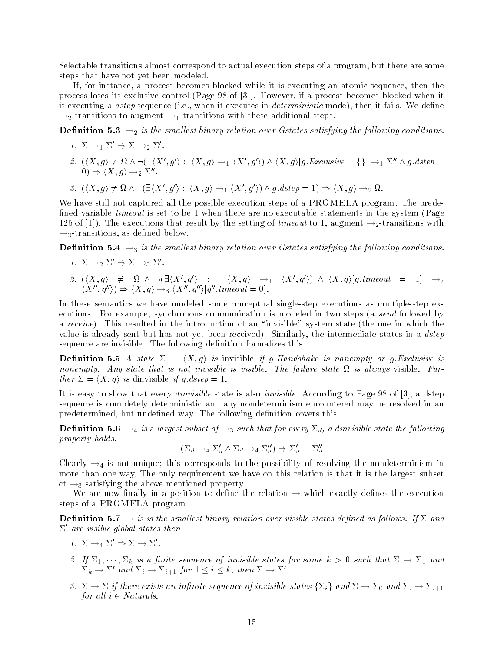Selectable transitions almost correspond to actual execution steps of a program, but there are some steps that have not yet been modeled.

If, for instance, a process becomes blocked while it is executing an atomic sequence, then the process loses its exclusive control (Page 98 of [3]). However, if a process becomes blocked when it is executing a *dstep* sequence (i.e., when it executes in *deterministic* mode), then it fails. We define  $\rightarrow_2$ -transitions to augment  $\rightarrow_1$ -transitions with these additional steps.

**Definition 5.3**  $\rightarrow$ <sub>2</sub> is the smallest binary relation over Gstates satisfying the following conditions.

- 1.  $\Sigma \rightarrow_1 \Sigma' \Rightarrow \Sigma \rightarrow_2 \Sigma'$ . 2.  $(\langle X,g \rangle \neq \Omega \wedge \neg (\exists \langle X',g' \rangle : \langle X,g \rangle \rightarrow_1 \langle X',g' \rangle) \wedge \langle X,g \rangle [g.Exclusive = \{\}] \rightarrow_1 \Sigma'' \wedge g.dstep =$  $(0) \Rightarrow \langle X, g \rangle \rightarrow_2 \Sigma''$ .
- 3.  $(\langle X,g \rangle \neq \Omega \wedge \neg (\exists \langle X',g' \rangle : \langle X,g \rangle \rightarrow_1 \langle X',g' \rangle) \wedge g.dstep = 1) \Rightarrow \langle X,g \rangle \rightarrow_2 \Omega$ .

We have still not captured all the possible execution steps of a PROMELA program. The prede fined variable *timeout* is set to be 1 when there are no executable statements in the system (Page 125 of [1]). The executions that result by the setting of timeout to 1, augment  $\rightarrow_2$ -transitions with  $\rightarrow$ <sub>3</sub>-transitions, as defined below.

**Definition 5.4**  $\rightarrow$ <sub>3</sub> is the smallest binary relation over Gstates satisfying the following conditions.

1.  $\Sigma \rightarrow_2 \Sigma' \Rightarrow \Sigma \rightarrow_3 \Sigma'$ . 2.  $\langle X,g \rangle \neq \Omega \wedge \neg (\exists \langle X',g' \rangle : \langle X,g \rangle \rightarrow_1 \langle X',g' \rangle) \wedge \langle X,g \rangle [g.timeout = 1] \rightarrow_2$  $\langle X'', g'' \rangle) \Rightarrow \langle X, g \rangle \rightarrow_3 \langle X'', g'' \rangle [g''.timeout = 0].$ 

In these semantics we have modeled some conceptual single-step executions as multiple-step executions. For example, synchronous communication is modeled in two steps (a send followed by a receive). This resulted in the introduction of an "invisible" system state (the one in which the value is already sent but has not yet been received). Similarly, the intermediate states in a dstep sequence are invisible. The following definition formalizes this.

**Definition 5.5** A state  $\Sigma = \langle X, g \rangle$  is invisible if g.Handshake is nonempty or g.Exclusive is nonempty. Any state that is not invisible is visible. The failure state is always visible. Further  $\Sigma = \langle X, g \rangle$  is dinvisible if g.dstep = 1.

It is easy to show that every dinvisible state is also invisible. According to Page 98 of [3], a dstep sequence is completely deterministic and any nondeterminism encountered may be resolved in an predetermined, but undefined way. The following definition covers this.

**Definition 5.6**  $\rightarrow_4$  is a largest subset of  $\rightarrow_3$  such that for every  $\Sigma_d$ , a dinvisible state the following property holds:

$$
(\Sigma_d \to_4 \Sigma_d' \land \Sigma_d \to_4 \Sigma_d'') \Rightarrow \Sigma_d' = \Sigma_d''
$$

Clearly  $\rightarrow_4$  is not unique; this corresponds to the possibility of resolving the nondeterminism in more than one way, The only requirement we have on this relation is that it is the largest subset of  $\rightarrow_3$  satisfying the above mentioned property.

We are now finally in a position to define the relation  $\rightarrow$  which exactly defines the execution steps of a PROMELA program.

**Definition 5.7**  $\rightarrow$  is is the smallest binary relation over visible states defined as follows. If  $\Sigma$  and  $\Sigma'$  are visible global states then

- 1.  $\Sigma \rightarrow_4 \Sigma' \Rightarrow \Sigma \rightarrow \Sigma'.$
- 2. If  $\Delta_1, \cdots, \Delta_k$  is a finite sequence of invisible states for some  $\kappa > 0$  such that  $\Delta \to \Delta_1$  and  $\Sigma_k \to \Sigma'$  and  $\Sigma_i \to \Sigma_{i+1}$  for  $1 \leq i \leq k$ , then  $\Sigma \to \Sigma'$ .
- 3.  $\Sigma \to \Sigma$  if there exists an infinite sequence of invisible states  $\{\Sigma_i\}$  and  $\Sigma \to \Sigma_0$  and  $\Sigma_i \to \Sigma_{i+1}$ for all  $i \in Naturals$ .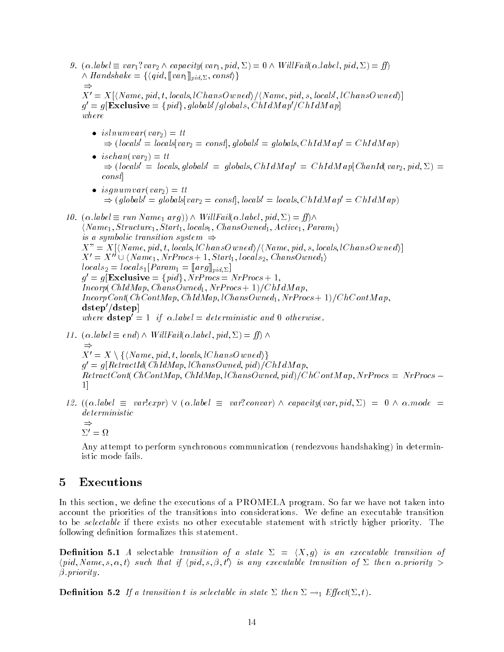- 9.  $(\alpha. label \equiv var_1?var_2 \wedge capacity(var_1, pid, \Sigma) = 0 \wedge WillFail(\alpha. label, pid, \Sigma) = ff)$  $\land$  Handshake =  $\{\langle qid, [var_1]_{pid,\Sigma}, const \rangle\}$  $\Rightarrow$  $X'=X[\langle Name, pid, t, \textit{locals}, \textit{lChansOwned} \rangle / \langle Name, pid, s, \textit{locals}, \textit{lChansOwned} \rangle]$  $g' = g[{\bf Exclusive} = \{pid\}, globals/globals, ChIdMap'/ChIdMap]$  $where$  $\bullet$  isinumvar(var<sub>2</sub>) = tt  $\Rightarrow$  (locals<sup> $\vert$ </sup> = locals[var<sub>2</sub> = const], globals<sup> $\vert$ </sup> = globals, ChIdM ap<sup> $\vert$ </sup> = ChIdM ap)  $\bullet$  ischan(var<sub>2</sub>) = tt  $\Rightarrow$  (locals' = locals, globals' = globals, ChIdM ap' = ChIdM ap[ChanId(var<sub>2</sub>, pid,  $\Sigma$ ) = const]  $\bullet$  isgnumvar(var<sub>2</sub>) = tt  $\Rightarrow$  (globals<sup>'</sup> = globals[var<sub>2</sub> = const], locals' = locals, ChIdM ap' = ChIdMap)
- 10.  $(\alpha \text{.} \text{.} \text{label} \equiv \text{run } \text{Name}_1 \text{ arg})) \wedge \text{WillFail}(\alpha \text{.} \text{.} \text{label}, \text{pid} \text{pid}, \Sigma) = \text{ff} \wedge$  $\langle Name_1, Structure_1, Start_1, \text{locals}_1, \text{ChansOwned}_1, Active_1, \text{Param}_1 \rangle$ is a symbolic transition system  $\Rightarrow$  $X" = X[\langle Name, pid, t, \text{locals}, \text{lChansOwned} \rangle / \langle Name, pid, s, \text{locals}, \text{lChansOwned} \rangle]$  $X' = X'' \cup \langle Name_1, NrProcs + 1, Start_1, local s_2, ChansOwned_1 \rangle$  $locals_2 = locals_1[Param_1 = [arg]_{pid,\Sigma}]$  $g' = g[\textbf{Exclusive} = \{pid\}, NrProcess = NrProcess + 1,$  $Incorp(ChIdMap, ChansOwned_1, NrProcs + 1)/ChIdMap$ .  $IncorpCont(ChContMap, ChIdMap, lChansOwned_1, NrProcs + 1)/ChContMap,$  $dstep'/dstep$ where  $\text{dstep}' = 1$  if  $\alpha$  label = deterministic and 0 otherwise.
- 11.  $(\alpha, label \equiv end) \wedge WillFail(\alpha, label, pid, \Sigma) = ff) \wedge$  $\Rightarrow$  $X'=X\setminus \{\langle Name, pid, t, \textit{locals}, \textit{lChansOwned}\rangle\}$  $q = q$ | KetractIa(ChIdMap, tChansOwned, pid)| ChIdM ap,  $RetractCont(ChContMap, ChIdMap, lChansOwned, pid)/ChContMap, NrProcs = NrProcs$ 1]
- 12.  $((\alpha. \text{label} \equiv \text{var} \text{!} \text{expr}) \vee (\alpha. \text{label} \equiv \text{var} \text{!} \text{convar}) \wedge \text{capacity}(\text{var}, \text{pid}, \Sigma) = 0 \wedge \alpha \text{.} \text{mode} =$ deterministic  $\Rightarrow$ 
	- $\Sigma' = \Omega$

Any attempt to perform synchronous communication (rendezvous handshaking) in deterministic mode fails.

# <sup>5</sup> Executions

In this section, we define the executions of a PROMELA program. So far we have not taken into account the priorities of the transitions into considerations. We define an executable transition to be *selectable* if there exists no other executable statement with strictly higher priority. The following definition formalizes this statement.

**Definition 5.1** A selectable transition of a state  $\Sigma = \langle X, g \rangle$  is an executable transition of  $\langle pid, Name, s, \alpha, t \rangle$  such that if  $\langle pid, s, \beta, t' \rangle$  is any executable transition of  $\Sigma$  then  $\alpha$  priority  $\geq$  $\beta$ . priority.

**Definition 5.2** If a transition t is selectable in state  $\Sigma$  then  $\Sigma \rightarrow_1$  Effect( $\Sigma$ , t).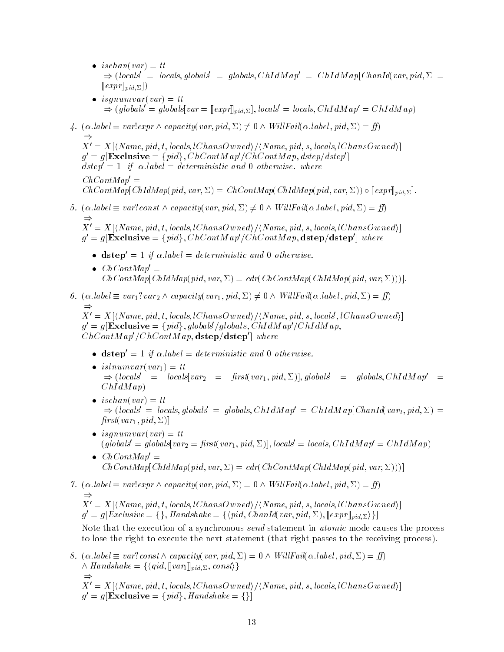- $\bullet$  ischan(var) = tt  $\Rightarrow$  (locals<sup>t</sup> = locals, globals<sup>t</sup> = globals, ChIdM ap<sup>t</sup> = ChIdM ap[ChanId(var, pid,  $\Sigma =$  $[\![expr]\!]_{pid,\Sigma}])$
- $\bullet$  isqnumvar(var)  $=$  tt  $\Rightarrow (global s' = global s [var = [expr]]_{pid, \Sigma}], local s' = local s, ChIdMap' = ChIdMap)$
- 4.  $(\alpha. \text{label} \equiv \text{var} \cdot \text{expr} \wedge \text{capacity}(\text{var}, \text{pid}, \Sigma) \neq 0 \wedge \text{WillFail}(\alpha. \text{label}, \text{pid}, \Sigma) = \text{ff}$  $\Rightarrow$  $X'=X[\langle Name, pid, t, \textit{locals}, \textit{lChansOwned} \rangle / \langle Name, pid, s, \textit{locals}, \textit{lChansOwned} \rangle]$  $g'=g[{\bf Exclusive}=\{pid\},ChContMap'/ChContMap,\,p]/detMap]$  $\emph{asup}=1$  if  $\alpha$  tabel  $=\emph{a}$  aeterministic and 0 otherwise. where  $ChContMap' =$  $ChContMap(ChIdMap(pid, var, \Sigma) = ChContMap(ChIdMap(pid, var, \Sigma)) \circ [expr]_{pid, \Sigma}].$
- 5.  $(\alpha. label \equiv var! const \wedge capacity(var, pid, \Sigma) \neq 0 \wedge WillFail(\alpha. label, pid, \Sigma) = ff)$

 $\Rightarrow$  $X'=X[\langle Name, pid, t, \textit{locals}, \textit{lChansOwned} \rangle / \langle Name, pid, s, \textit{locals}, \textit{lChansOwned} \rangle]$  $g' = g[{\bf Exclusive} = \{pid\}, ChContMap'/ChContMap,{\bf dstep/dstep'}]$  where

- dstep  $= 1$  if  $\alpha$  label  $=$  deterministic and 0 otherwise.
- $\bullet$  ChContMap  $\equiv$  $ChContMap(ChIdMap(pid, var, \Sigma) = cdr(ChContMap(ChIdMap(pid, var, \Sigma)))$ .
- 6.  $(\alpha. \text{label} \equiv var_1?var_2 \wedge capacity(var_1, pid, \Sigma) \neq 0 \wedge WillFail(\alpha. \text{label}, pid, \Sigma) = ff$  $\Rightarrow$  $X'=X[\langle Name, pid, t, \textit{locals}, \textit{lChansOwned} \rangle / \langle Name, pid, s, \textit{locals}, \textit{lChansOwned} \rangle]$  $g' = g[\textbf{Exclusive} = \{pid\}, globals/globals, ChIdMap'/ChIdMap,$

ChContM ap $\mu$ ChContM ap, dstep/dstep  $\mu$  where

- dstep  $= 1$  if  $\alpha$  label  $=$  deterministic and 0 otherwise.
- $\bullet$  islnumvar(var<sub>1</sub>) = tt  $\Rightarrow$  (locals<sup>†</sup> = locals[var<sub>2</sub> = first(var<sub>1</sub>, pid,  $\Sigma$ )], globals<sup>†</sup> = globals, ChIdM ap<sup>t</sup> =  $ChIdMap$
- $\bullet$  ischan(var) = tt  $\Rightarrow$  (locals' = locals, globals' = globals, ChIdM ap' = ChIdM ap[ChanId(var<sub>2</sub>, pid,  $\Sigma$ ) =  $first(var_1, pid, \Sigma)$
- $\bullet$  isquamvar(var)  $=$  tt  $\left($  giobals = giobals $|var_2| = |ars\sqrt{var_1}, pa, \Sigma|$ , locals = locals, ChIdM ap $| = C$ hIdM ap $)$
- $\bullet$  ChContMap  $=$  $ChContMap(ChIdMap(pid, var, \Sigma) = cdr(ChContMap(ChIdMap(pid, var, \Sigma)))$
- 7.  $(\alpha, label \equiv var!expr \land capacity(var, pid, \Sigma) = 0 \land WillFail(\alpha, label, pid, \Sigma) = ff)$  $\Rightarrow$  $X'=X[\langle Name, pid, t, \textit{locals}, \textit{lChansOwned} \rangle / \langle Name, pid, s, \textit{locals}, \textit{lChansOwned} \rangle]$  $g' = g[Exclusive = \{\},$  Handshake =  $\{\langle pid, ChanId| var, pid, \Sigma), [\![expr]\!]_{pid, \Sigma}\}\}]$ Note that the execution of a synchronous send statement in atomic mode causes the process to lose the right to execute the next statement (that right passes to the receiving process).

8. 
$$
(\alpha. label \equiv var? const \land capacity(var, pid, \Sigma) = 0 \land WillFail(\alpha. label, pid, \Sigma) = ff)
$$
  
\n $\land$  *Handshake* = { $\langle qid, [\nmid var_1]_{pid, \Sigma}, const \rangle$ }  
\n $\Rightarrow$   
\n $X' = X[\langle Name, pid, t, local, lChansOwned \rangle / \langle Name, pid, s, local, lChansOwned \rangle]$   
\n $g' = g[\mathbf{Exclusive} = {pid}, \mathbf{Handshake} = {}\]$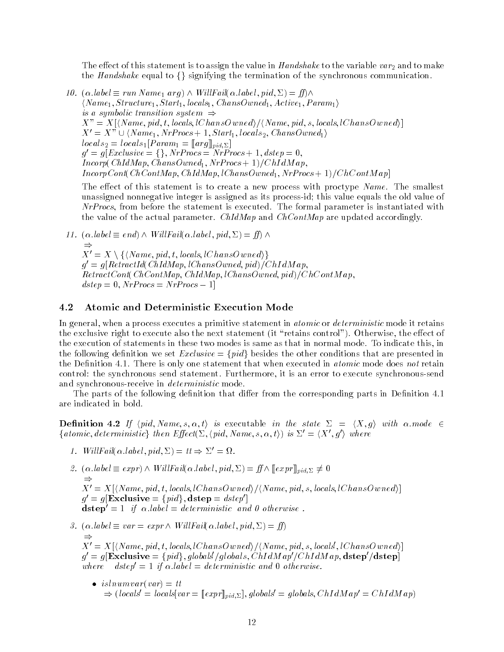The effect of this statement is to assign the value in Handshake to the variable var<sub>2</sub> and to make the Handshake equal to  $\{\}\$  signifying the termination of the synchronous communication.

10. (:label run Name1 arg) ^ Wil lFail(:label; pid; ) = )^  $\langle Name_1, Structure_1, Start_1, \text{locals}_1, \text{ChansOwned}_1, Active_1, \text{Param}_1 \rangle$ is a symbolic transition system  $\Rightarrow$  $X'' = X[\langle Name, pid, t, \text{locals}, \text{lChansOwned} \rangle / \langle Name, pid, s, \text{locals}, \text{lChansOwned} \rangle]$  $X'=X" \cup \langle Name_1, NrProcs + 1, Start_1, local s_2, ChansOwned_1 \rangle$  $locals_2 = locals_1[Param_1 = [arg]_{pid,\Sigma}]$  $g' = g[Exclusive = \{\}, NrProcess = NrProcess + 1, \text{dstep} = 0,$  $Incorp(ChIdMap, ChansOwned<sub>1</sub>, NrProcs + 1)/ChIdMap,$  $IncorpCont(ChContMap, ChIdMap, lChansOwned_1, NrProcs + 1)/ChContMap$ 

The effect of this statement is to create a new process with proctype Name. The smallest unassigned nonnegative integer is assigned as its process-id; this value equals the old value of NrProcs, from before the statement is executed. The formal parameter is instantiated with the value of the actual parameter. ChIdMap and ChContMap are updated accordingly.

11.  $(\alpha, label \equiv end) \wedge WillFail(\alpha, label, pid, \Sigma) = ff) \wedge$ 

 $\Rightarrow$  $X' = X \setminus \{ \langle Name, pid, t, \text{locals}, \text{lChansOwned} \rangle \}$  $q = q$ | ItenactIa( ChIam ap; tChansOwned; pia)| ChIam ap;  $RetractCont(ChContMap, ChIdMap, lChansOwned, pid)/ChContMap,$  $dstep = 0, NrProcs = NrProcs - 1$ 

### 4.2 Atomic and Deterministic Execution Mode

In general, when a process executes a primitive statement in *atomic* or *deterministic* mode it retains the exclusive right to execute also the next statement (it "retains control"). Otherwise, the effect of the execution of statements in these two modes is same as that in normal mode. To indicate this, in the following definition we set  $\text{Exclusive} = \{pid\}$  besides the other conditions that are presented in the Definition 4.1. There is only one statement that when executed in *atomic* mode does not retain control: the synchronous send statement. Furthermore, it is an error to execute synchronous-send and synchronous-receive in *deterministic* mode.

The parts of the following definition that differ from the corresponding parts in Definition 4.1 are indicated in bold.

**Definition 4.2** If  $\langle pid, Name, s, \alpha, t \rangle$  is executable in the state  $\Sigma = \langle X, g \rangle$  with  $\alpha$ .mode  $\in$ {atomic, deterministic} then  $Effect(\Sigma, \langle pid, Name, s, \alpha, t \rangle)$  is  $\Sigma' = \langle X', g' \rangle$  where

- 1. Will Fail  $\alpha$  label, pid,  $\Sigma$   $=$   $tt \Rightarrow \Sigma' = \Omega$ .
- 2.  $(\alpha. \text{label} \equiv \text{expr}) \wedge \text{WillFail}(\alpha. \text{label}, \text{pid} \text{pid}, \Sigma) = \text{ff} \wedge \llbracket \text{expr} \rrbracket_{\text{pid}} \Sigma \neq 0$  $\Rightarrow$  $X'=X[\langle Name, pid, t, \textit{locals}, \textit{lChansOwned} \rangle / \langle Name, pid, s, \textit{locals}, \textit{lChansOwned} \rangle]$  $g' = g[{\bf Exclusive} = \{pid\}, {\bf dstep} = \textit{dstep}']$  $\textbf{dstep} = 1$  if  $\alpha$  iabel = deterministic and 0 otherwise .
- 3.  $(\alpha. \text{label} \equiv var = \text{expr} \wedge \text{WillFail}(\alpha. \text{label}, \text{pid}, \Sigma) = \text{ff})$  $\Rightarrow$  $X'=X[\langle Name, pid, t, \textit{locals}, \textit{lChansOwned} \rangle / \langle Name, pid, s, \textit{locals}, \textit{lChansOwned} \rangle]$  $\sigma =$  $g' = g[\mathbf{Exclusive} = \{pid\}, globals/globals,\overleftrightarrow{ChIdMap}/\overleftrightarrow{ChIdMap},\mathbf{dstep}/\mathbf{dstep}$ where dstep0 = 1 if :label = deterministic and 0 otherwise.
	- $\bullet$  islnumvar(var) = tt  $\Rightarrow$  (locals<sup>t</sup> = locals var =  $[expr]_{pid, \Sigma}$ ), globals<sup>t</sup> = globals, ChIdMap' = ChIdMap)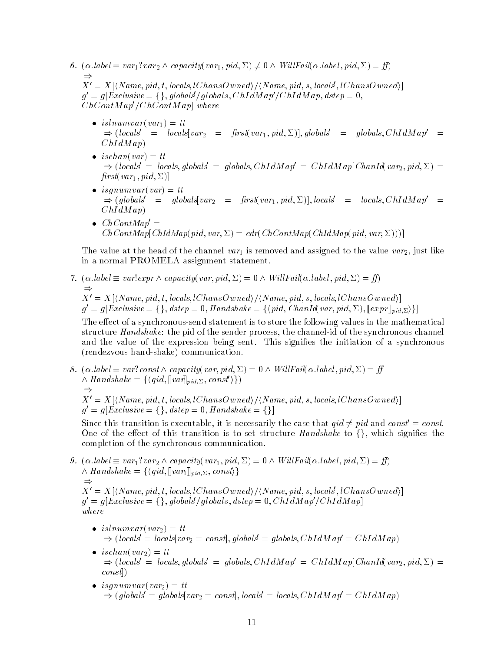- 6.  $(\alpha. \text{label} \equiv var_1?var_2 \wedge capacity(var_1, pid, \Sigma) \neq 0 \wedge WillFail(\alpha. \text{label}, pid, \Sigma) = ff$  $\Rightarrow$  $X'=X[\langle Name, pid, t, \textit{locals}, \textit{lChansOwned} \rangle / \langle Name, pid, s, \textit{locals}, \textit{lChansOwned} \rangle]$  $g'=g[Exclusive=\{\},global\s/globals,ChIdMap\s/ChIdMap,\,,$  $ChContMap'/ChContMap$ ] where
	- $\bullet$  isinumvar(var<sub>1</sub>) = tt  $\Rightarrow$  (locals<sup>tri</sup> = locals[var<sub>2</sub> = first(var<sub>1</sub>, pid,  $\Sigma$ )], globals<sup>t</sup> = globals, ChIdM ap<sup>t</sup> =  $ChIdMap$
	- $\bullet$  ischan(var) = tt  $\Rightarrow$  (locals' = locals, globals' = globals, ChIdM ap' = ChIdM ap[ChanId(var<sub>2</sub>, pid,  $\Sigma$ ) =  $first(var_1, pid, \Sigma)$
	- $\bullet$  isquamvar(var)  $=$  tt  $\Rightarrow$  (globals) = globals[var<sub>2</sub> = first(var<sub>1</sub>, pid,  $\Sigma$ )], locals<sup>1</sup> = locals, ChIdM ap<sup>t</sup> =  $ChIdMap)$
	- $\bullet$  ChContMap  $\equiv$  $ChContMap[ChIdMap(pid, var, \Sigma) = cdr(ChContMap(ChIdMap(pid, var, \Sigma)))]$

The value at the head of the channel  $var_1$  is removed and assigned to the value  $var_2$ , just like in a normal PROMELA assignment statement.

7.  $(\alpha, label \equiv var!expr \land capacity(var, pid, \Sigma) = 0 \land WillFail(\alpha, label, pid, \Sigma) = ff)$  $\Rightarrow$  $X'=X[\langle Name, pid, t, \textit{locals}, \textit{lChansOwned} \rangle / \langle Name, pid, s, \textit{locals}, \textit{lChansOwned} \rangle]$  $g' = g[Exclusive = \{\},\,\) = 0,\,Handshake = \{\langle pid,\,ChainId(var,pid, \Sigma), \llbracket expr \rrbracket_{pid, \Sigma}\rangle\}]$ 

The effect of a synchronous-send statement is to store the following values in the mathematical structure *Handshake*: the pid of the sender process, the channel-id of the synchronous channel and the value of the expression being sent. This signifies the initiation of a synchronous (rendezvous hand-shake) communication.

8.  $(\alpha. \text{label} \equiv var \text{? const} \wedge \text{capacity}(var, pid, \Sigma) = 0 \wedge WillFail(\alpha. \text{label}, pid, \Sigma) = ff$  $\land$  Handshake =  $\{\langle qid, [var]_{pid,\Sigma}, const'\rangle\}\$  $\Rightarrow$  $X'=X[\langle Name, pid, t, \textit{locals}, \textit{lChansOwned} \rangle / \langle Name, pid, s, \textit{locals}, \textit{lChansOwned} \rangle]$  $g' = g[Exclusive = \{\},\,\) = 0,\,Handshake = \{\}]$ 

Since this transition is executable, it is necessarily the case that  $qid \neq pid$  and  $const' = const$ . One of the effect of this transition is to set structure Handshake to  $\{\}$ , which signifies the completion of the synchronous communication.

- 9.  $(\alpha. \text{label} \equiv var_1?var_2 \wedge capacity(var_1, pid, \Sigma) = 0 \wedge WillFail(\alpha. \text{label}, pid, \Sigma) = ff$  $\Lambda$  Handshake =  $\{\langle qid, \llbracket var_1 \rrbracket_{pid, \Sigma}, const \rangle\}$  $\Rightarrow$  $X'=X[\langle Name, pid, t, \textit{locals}, \textit{lChansOwned} \rangle / \langle Name, pid, s, \textit{locals}, \textit{lChansOwned} \rangle]$  $g'=g[Exclusive=\{\},global\!/global\s,~dstep = 0,ChIdMap'/ChIdMap]$  $where$ 
	- $\bullet$  isinumvar(var<sub>2</sub>) = tt  $\Rightarrow$  (locals<sup> $\vert$ </sup> = locals  $\vert var_2 = const \vert$ , globals<sup> $\vert$ </sup> = globals, ChI dM ap<sup> $\vert$ </sup> = ChI dM ap)
	- $\bullet$  ischan(var<sub>2</sub>) = tt  $\Rightarrow$  (locals<sup>trian</sup> = locals, globals<sup>trian</sup> = globals, ChI dM ap<sup>t</sup> = ChI dM ap[ChanId(var<sub>2</sub>, pid,  $\Sigma$ ) = const])
	- $\bullet$  isgnumvar(var<sub>2</sub>) = tt  $\Rightarrow$  (globals<sup> $\dot{} =$ globals[var<sub>2</sub> = const], locals<sup> $\dot{} =$ </sup> locals, ChI dM ap<sup> $\dot{} =$ </sup> ChI dM ap)</sup>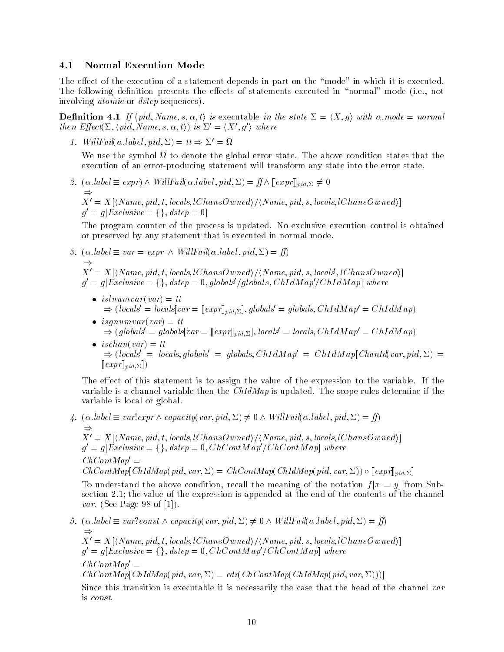### 4.1 Normal Execution Mode

The effect of the execution of a statement depends in part on the "mode" in which it is executed. The following definition presents the effects of statements executed in "normal" mode (i.e., not involving atomic or dstep sequences).

**Definition 4.1** If  $\langle pid, Name, s, \alpha, t \rangle$  is executable in the state  $\Sigma = \langle X, g \rangle$  with  $\alpha$ .mode = normal then  $Effect(\Sigma, \langle pid, Name, s, \alpha, t \rangle)$  is  $\Sigma' = \langle X', g' \rangle$  where

1. WillFail( $\alpha$ , label; pid;  $\Sigma$ ) = tt  $\Rightarrow \Sigma' = \Omega$ 

We use the symbol to denote the global error state. The above condition states that the execution of an error-producing statement will transform any state into the error state.

2.  $(\alpha. \text{label} \equiv \text{expr}) \wedge \text{WillFail}(\alpha. \text{label}, \text{pid} \text{Pid}, \Sigma) = \text{ff} \wedge [\text{expr}]_{\text{pid}, \Sigma} \neq 0$  $\Rightarrow$  $X' = X[\langle Name, pid, t, locals, lChansOwned \rangle / \langle Name, pid, s, locals, lChansOwned \rangle]$  $g' = g[Exclusive = \{\}, \text{dstep} = 0]$ 

The program counter of the process is updated. No exclusive execution control is obtained or preserved by any statement that is executed in normal mode.

- 3.  $(\alpha. \text{label} \equiv var = expr \land WillFail(\alpha. \text{label}, pid, \Sigma) = ff)$  $\Rightarrow$ X<sup>0</sup> = X[hName; pid; t; locals; lChansOwnedi=hName; pid; s; locals0; lChansOwnedi] 0  $g' = g[Exclusive = \{\},\, \textit{dstep = 0},\, \textit{globals}/\textit{globals},\, \textit{ChIdMap}/\textit{ChIdMap}] \,\, \textit{where}$ 
	- $\bullet$  isinumvar(var)  $=$  tt  $\Rightarrow (locals' = locals[var = [expr]]_{pid,\Sigma}], global s' = global s, ChIdMap' = ChIdMap)$
	- $\bullet$  is gnumvar(var) = tt  $\Rightarrow$  (globals' = globals var =  $[expr]_{pid,\Sigma}$ ), locals' = locals, ChIdMap' = ChIdMap)
	- $\bullet$  ischan(var) = tt  $\Rightarrow$  (locals' = locals, globals' = globals, ChIdM ap' = ChIdM ap[ChanId(var, pid,  $\Sigma$ ) =  $[exp r]_{pid,\Sigma}$ )

The effect of this statement is to assign the value of the expression to the variable. If the variable is a channel variable then the  $ChIdMap$  is updated. The scope rules determine if the variable is local or global.

4.  $(\alpha. \text{label} \equiv \text{var}! \text{expr} \wedge \text{capacity}(\text{var}, \text{pid}, \Sigma) \neq 0 \wedge \text{WillFail}(\alpha. \text{label}, \text{pid}, \Sigma) = \text{ff})$  $\Rightarrow$  $X'=X[\langle Name, pid, t, \textit{locals}, \textit{lChansOwned} \rangle / \langle Name, pid, s, \textit{locals}, \textit{lChansOwned} \rangle]$  $g' = g[Exclusive = \{\}, \text{dstep} = 0, ChContMap'/ChContMap]$  where  $ChContMap' =$  $ChContMap[ChIdMap(pid, var, \Sigma) = ChContMap(ChIdMap(pid, var, \Sigma)) \circ [expr]_{pid, \Sigma}]$ 

To understand the above condition, recall the meaning of the notation  $f[x = y]$  from Subsection 2.1; the value of the expression is appended at the end of the contents of the channel var. (See Page 98 of [1]).

5.  $(\alpha. \text{label} \equiv \text{var:} \text{const} \wedge \text{capacity}(\text{var}, \text{pid}, \Sigma) \neq 0 \wedge \text{WillFail}(\alpha. \text{label}, \text{pid}, \Sigma) = \text{ff}$  $\Rightarrow$  $X'=X[\langle Name, pid, t, \textit{locals}, \textit{lChansOwned} \rangle / \langle Name, pid, s, \textit{locals}, \textit{lChansOwned} \rangle]$  $g' = g[Exclusive = \{\}, \text{dstep} = 0, ChContMap'/ChContMap]$  where  $ChContMap' =$  $ChContMap[ChIdMap(pid, var, \Sigma) = cdr(ChContMap(ChIdMap(pid, var, \Sigma)))]$ 

Since this transition is executable it is necessarily the case that the head of the channel var is const.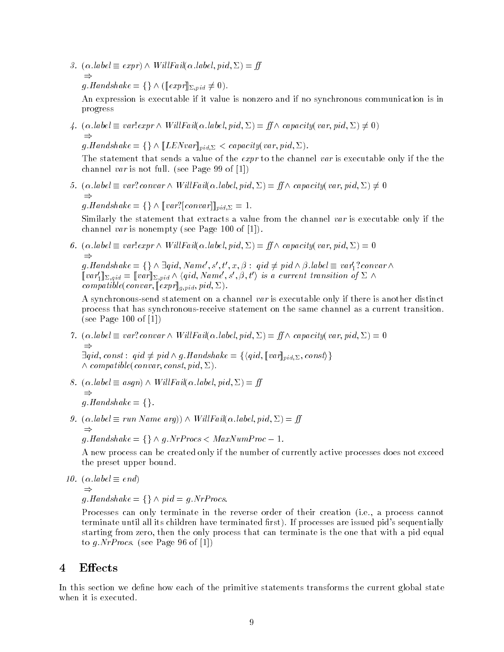3.  $(\alpha, label \equiv expr) \land WillFall(\alpha, label, pid, \Sigma) = ff$  $\Rightarrow$  $g.Handshake = \{\}\wedge (\llbracket exp \rrbracket_{\Sigma,pid} \neq 0).$ 

An expression is executable if it value is nonzero and if no synchronous communication is in progress

4.  $(\alpha. \text{label} \equiv \text{var}! \exp r \wedge \text{WillFail}(\alpha. \text{label}, \text{pid}, \Sigma) = \text{ff} \wedge \text{capacity}(\text{var}, \text{pid}, \Sigma) \neq 0)$  $\Rightarrow$ 

 $g.Handshake = \{\}\wedge [LENvar]_{pid,\Sigma} < capacity(var,pid,\Sigma).$ 

The statement that sends a value of the *expr* to the channel var is executable only if the the channel var is not full. (see Page 99 of [1])

5. ( $\alpha$  label  $\equiv var$ ? convar  $\wedge$  WillFail( $\alpha$  label, pid,  $\Sigma$ ) = ff  $\wedge$  capacity(var, pid,  $\Sigma$ )  $\neq$  0  $\Rightarrow$ 

 $g.Handshake = \{\}\wedge [var?[convar]]_{pid, \Sigma} = 1.$ 

Similarly the statement that extracts a value from the channel var is executable only if the channel var is nonempty (see Page 100 of [1]).

6.  $(\alpha, label \equiv var!expr \wedge WillFall(\alpha, label, pid, \Sigma) = ff \wedge capacity(var, pid, \Sigma) = 0$  $\Rightarrow$ 

g.Handshake =  $\{\}\wedge \exists qid, Name', s', t', x, \beta : qid \neq pid \wedge \beta. label \equiv var'_1?convar \wedge$  $[var'_1]_{\Sigma,qid} = [var]_{\Sigma,pid} \wedge \langle qid, Name', s', \beta, t' \rangle$  is a current transition of  $\Sigma \wedge$ compatible(convar,  $[[expr]]_{g,pid}, pid, \Sigma$ ).

A synchronous-send statement on a channel var is executable only if there is another distinct process that has synchronous-receive statement on the same channel as a current transition. (see Page 100 of [1])

- 7.  $(\alpha. label \equiv var! \, convex \wedge WillFail(\alpha. label, pid, \Sigma) = ff \wedge capacity(var, pid, \Sigma) = 0$  $\Rightarrow$  $\exists qid, const:~ qid \neq pid \wedge g.Handshake = \{\langle qid, [\![var]\!]_{pid, \Sigma}, const \rangle\}$  $\wedge$  compatible(convar; const, pid,  $\Sigma$ ).
- 8.  $(\alpha \text{.} \text{.} \text{label} \equiv \text{.} \text{asgn}) \wedge \text{WillFail}(\alpha \text{.} \text{.} \text{.} \text{label}, \text{pid}, \Sigma) = \text{ff}$  $\Rightarrow$

g.Handshake =  $\{\}.$ 

9. (:label run Name arg)) ^ Wil lFail(:label; pid; ) =  $\Rightarrow$  $g.Handshake = \{\}\wedge g.NrProcess < Maxwell$ 

A new process can be created only if the number of currently active processes does not exceed the preset upper bound.

10. (:label end)

$$
\Rightarrow
$$

 $g.Handshake = \{\}\wedge pid = g.NrProcess.$ 

Processes can only terminate in the reverse order of their creation (i.e., a process cannot terminate until all its children have terminated first). If processes are issued pid's sequentially starting from zero, then the only process that can terminate is the one that with a pid equal to g.  $NrProcs.$  (see Page 96 of [1])

# 4 Effects

In this section we define how each of the primitive statements transforms the current global state when it is executed.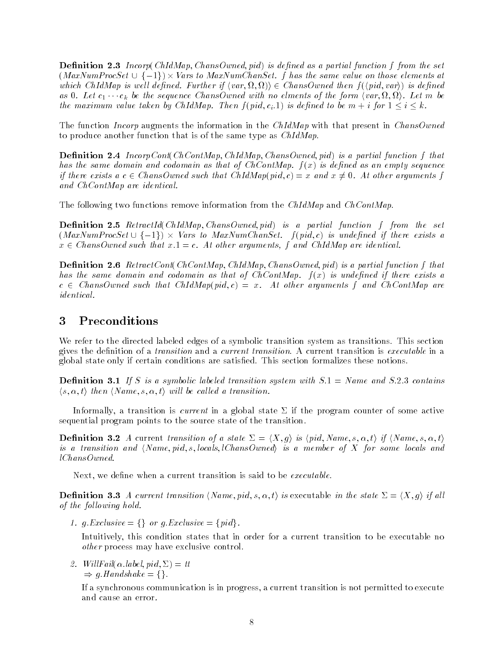**Definition 2.3** Incorp(ChIdMap, ChansOwned, pid) is defined as a partial function f from the set  $(MaxNumProcSet \cup \{-1\}) \times Vars$  to  $MaxNumCharSet$ . f has the same value on those elements at which ChIdMap is well defined. Further if  $\langle var, \Omega, \Omega \rangle$   $\in ChansO$  wned then  $f(\langle pid, var \rangle)$  is defined as 0. Let  $c_1 \cdots c_k$  be the sequence ChansOwned with no elments of the form  $\langle var, \Omega, \Omega \rangle$ . Let m be the maximum value taken by ChIdMap. Then  $f(pid, c_i, 1)$  is defined to be  $m + i$  for  $1 \leq i \leq k$ .

The function *Incorp* augments the information in the ChIdMap with that present in ChansOwned to produce another function that is of the same type as ChIdMap.

**Definition 2.4** IncorpCont(ChContMap, ChIdMap, ChansOwned, pid) is a partial function f that has the same domain and codomain as that of  $ChContMap$ .  $f(x)$  is defined as an empty sequence if there exists a c  $\in$  ChansOwned such that ChIdMap(pid, c) = x and  $x \neq 0$ . At other arguments f and ChContMap are identical.

The following two functions remove information from the ChIdMap and ChContMap.

**Definition 2.5** RetractId(ChIdMap, ChansOwned, pid) is a partial function f from the set  $(MaxNumProcSet \cup \{-1\}) \times \textit{Vars to } \textit{MaxNumChanset. } \ \ f (\textit{pid}, c) \ \ \textit{is undefined if there exists a}$  $x \in ChansOwned such that x.l = c. At other arguments, f and ChIdMap are identical.$ 

**Definition 2.6** RetractCont(ChContMap, ChIdMap, ChansOwned, pid) is a partial function f that has the same domain and codomain as that of  $ChContMap$ .  $f(x)$  is undefined if there exists a  $c \in ChansOwned$  such that  $ChIdMap(pid, c) = x$ . At other arguments f and  $ChContMap$  are identical.

## <sup>3</sup> Preconditions

We refer to the directed labeled edges of a symbolic transition system as transitions. This section gives the definition of a *transition* and a *current transition*. A current transition is *executable* in a global state only if certain conditions are satised. This section formalizes these notions.

**Definition 3.1** If S is a symbolic labeled transition system with  $S.1 = Name$  and  $S.2.3$  contains  $\langle s, \alpha, t \rangle$  then  $\langle Name, s, \alpha, t \rangle$  will be called a transition.

Informally, a transition is *current* in a global state  $\Sigma$  if the program counter of some active sequential program points to the source state of the transition.

**Definition 3.2** A current transition of a state  $\Sigma = \langle X, q \rangle$  is  $\langle pid, Name, s, \alpha, t \rangle$  if  $\langle Name, s, \alpha, t \rangle$ is a transition and  $\langle Name, pid, s, locals, lChansOwned \rangle$  is a member of X for some locals and lChansOwned.

Next, we define when a current transition is said to be  $\emph{execute}.$ 

**Definition 3.3** A current transition (Name, pid, s,  $\alpha$ , t) is executable in the state  $\Sigma = \langle X, g \rangle$  if all of the following hold.

1. g. Exclusive = {} or g. Exclusive =  $\{pid\}$ .

Intuitively, this condition states that in order for a current transition to be executable no other process may have exclusive control.

2. WillFail( $\alpha$ .label, pid,  $\Sigma$ ) = tt  $\Rightarrow$  q.Handshake = {}.

If a synchronous communication is in progress, a current transition is not permitted to execute and cause an error.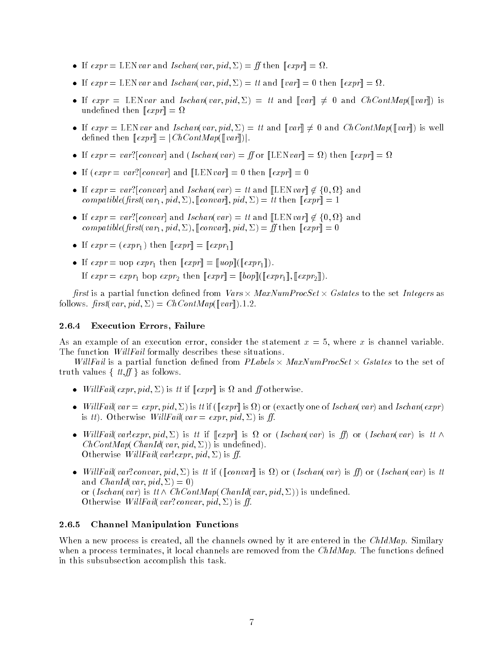- If  $expr = \text{LEN} var$  and  $Ischan(var, pid, \Sigma) = H$  then  $||expr|| = \Sigma L$ .
- If  $expr = LEN \, var$  and *Ischan*(var, pid,  $\Delta$ ) = it and  $\|var\| = 0$  then  $\|expr\| = \Omega$ .
- If  $expr = \text{LEN}var$  and  $Ischan(var, pid, \Sigma) = tt$  and  $\llbracket var \rrbracket \neq 0$  and  $ChContMap(\llbracket var \rrbracket)$  is undefined then  $\llbracket expr \rrbracket = \Omega$
- If  $expr = \text{LEN} var$  and  $Ischan(var, pid, \Sigma) = tt$  and  $[var] \neq 0$  and  $ChContMap([var])$  is well defined then  $\llbracket expr \rrbracket = |ChContMap(\llbracket var \rrbracket)|$ .
- If  $expr = var(|convar|$  and  $(Iscanvar) = H$  or  $||$ LENvar $|| = \Omega$ ) then  $||expr|| = \Omega$
- $\bullet$  II (expr = var. convar and LENvar = 0 then  $\Vert exp r \Vert = 0$
- If  $expr = var?[convar]$  and  $Ischan(var) = tt$  and  $[LEN var] \notin \{0, \Omega\}$  and compatible(first(var<sub>1</sub>, pid,  $\Sigma$ ), [[convar]], pid,  $\Sigma$ ) = tt then [[expr]] = 1
- If  $expr = var?[convar]$  and  $Ischan(var) = tt$  and  $[LEN var] \notin \{0, \Omega\}$  and compatible(first(var<sub>1</sub>, pid,  $\Sigma$ ), [[convar]], pid,  $\Sigma$ ) = ff then  $[exp r] = 0$
- $\bullet$  If  $expr = (expr_1)$  then  $[expr] = [expr_1]$
- $\bullet$  II  $expr = \text{uop } expr_1$  then  $[expr] = [uop]({[expr_1]})$ . If  $expr = expr_1$  bop  $expr_2$  then  $[expr] = [bop]([expr_1], [expr_2]).$

first is a partial function defined from  $Vars \times MaxNumProcSet \times Gstates$  to the set Integers as follows.  $first(var, pid, \Sigma) = ChContMap(\llbracket var \rrbracket).1.2.$ 

### 2.6.4 Execution Errors, Failure

As an example of an execution error, consider the statement  $x = 5$ , where x is channel variable. The function *WillFail* formally describes these situations.

Willfail is a partial function defined from PLabels  $\times$  MaxNumProcSet  $\times$  Gstates to the set of truth values  $\{~tt, ff\}$  as follows.

- *WillFail(expr, pid,*  $\Sigma$ *)* is the  $\|expr\|$  is st and  $\pi$  otherwise.
- $\bullet$  WillFail(var  $=$  expr, pid,  $\Sigma$ ) is it if ([[expr]] is  $\Omega$  ) or (exactly one of Ischan(var) and Ischan(expr) is tt). Otherwise WillFail(var = expr, pid,  $\Sigma$ ) is ff.
- WillFail(var!expr, pid,  $\Sigma$ ) is it if  $\Vert expr\Vert$  is  $\Omega$  or (Ischan(var) is ff) or (Ischan(var) is it  $\wedge$  $ChContMap(ChanId(var, pid, \Sigma))$  is undefined). Otherwise WillFail(var!expr, pid,  $\Sigma$ ) is ff.
- $\bullet$  WillFau(var:convar, pid,  $\Sigma$ ) is it if ([[convar]] is M ) or (Ischan(var) is IJ ) or (Ischan(var) is it and *ChanId(var, pid,*  $\Sigma$ ) = 0) or (Ischan(var) is  $tt \wedge ChContMap(ChanId(var,pid, \Sigma))$  is undefined. Otherwise WillFail(var?convar, pid,  $\Sigma$ ) is ff.

### 2.6.5 Channel Manipulation Functions

When a new process is created, all the channels owned by it are entered in the ChIdMap. Similary when a process terminates, it local channels are removed from the  $ChIdMap$ . The functions defined in this subsubsection accomplish this task.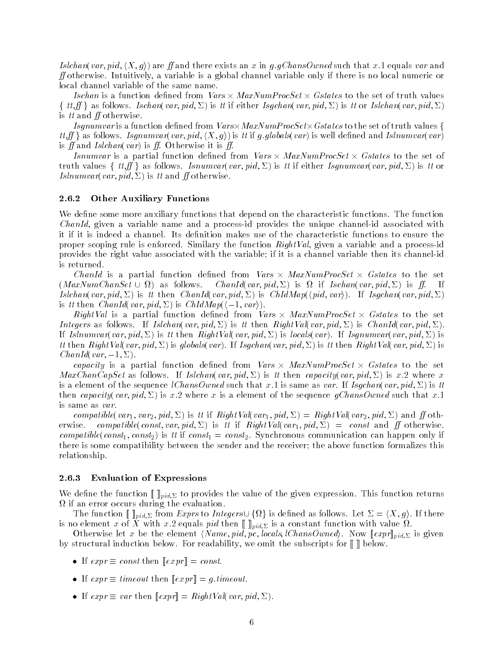Islchan(var, pid,  $\langle X, g \rangle$ ) are ff and there exists an x in g.gChansOwned such that x.1 equals var and  $f$  otherwise. Intuitively, a variable is a global channel variable only if there is no local numeric or local channel variable of the same name.

Ischan is a function defined from  $\mathit{Vars} \times \mathit{MaxNumProcSet} \times \mathit{Gstates}$  to the set of truth values  $\{~tt, ff\}$  as follows. Ischan(var, pid,  $\Sigma$ ) is tt if either Isgchan(var, pid,  $\Sigma$ ) is tt or Islchan(var, pid,  $\Sigma$ ) is  $tt$  and  $ff$  otherwise.

 $Isgnumvar$  is a function defined from  $\mathit{Vars}\times\mathit{MaxNumProcSet}\times\mathit{Gstates}$  to the set of truth values  $\{$  $tt, ff$  as follows. Isgnumvar(var, pid,  $\langle X, g \rangle$ ) is tt if g.globals(var) is well defined and Islnumvar(var) is ff and Islchan(var) is ff. Otherwise it is ff.

Isnumvar is a partial function defined from  $Vars \times MaxNumProcSet \times Gstates$  to the set of truth values  $\{~tt,f\}$  as follows. Isnumvar(var, pid,  $\Sigma$ ) is tt if either Isgnumvar(var, pid,  $\Sigma$ ) is tt or *Islnumvar*(*var*, *pid*,  $\Sigma$ ) is tt and *ff* otherwise.

### 2.6.2 Other Auxiliary Functions

We define some more auxiliary functions that depend on the characteristic functions. The function ChanId, given a variable name and a process-id provides the unique channel-id associated with it if it is indeed a channel. Its definition makes use of the characteristic functions to ensure the proper scoping rule is enforced. Similary the function  $RightVal$ , given a variable and a process-id provides the right value associated with the variable; if it is a channel variable then its channel-id is returned.

ChanId is a partial function defined from Vars  $\times$  MaxNumProcSet  $\times$  Gstates to the set  $(MaxNumChanSet \cup \Omega)$  as follows. f as follows. Chania var,  $p_i a_i \nightharpoonup i$  is seen following var,  $p_i a_i \nightharpoonup j$  is  $\mu$ . If Islchan(var, pid,  $\Sigma$ ) is tt then ChanId(var, pid,  $\Sigma$ ) is ChIdMap( $\langle pid, var \rangle$ ). If Isgchan(var, pid,  $\Sigma$ ) is tt then ChanId(var, pid,  $\Sigma$ ) is ChIdMap( $\langle -1, var \rangle$ ).

*RightVal* is a partial function defined from *Vars*  $\times$  *MaxNumProcSet*  $\times$  *Gstates* to the set Integers as follows. If Islchan(var, pid,  $\Sigma$ ) is tt then RightVal(var, pid,  $\Sigma$ ) is ChanId(var, pid,  $\Sigma$ ). If Islnumvar(var, pid,  $\Sigma$ ) is tt then RightVal(var, pid,  $\Sigma$ ) is locals(var). If Isgnumvar(var, pid,  $\Sigma$ ) is tt then RightVal(var, pid,  $\Sigma$ ) is globals(var). If Isgchan(var, pid,  $\Sigma$ ) is tt then RightVal(var, pid,  $\Sigma$ ) is ChanId(var,  $-1$ ,  $\Sigma$ ).

*capacity* is a partial function defined from *Vars*  $\times$  *MaxNumProcSet*  $\times$  Gstates to the set  $MaxChanCapSet$  as follows. If Islchan(var, pid,  $\Sigma$ ) is tt then capacity(var, pid,  $\Sigma$ ) is x.2 where x is a element of the sequence *lChansOwned* such that x.1 is same as var. If Isgchan(var, pid,  $\Sigma$ ) is tt then capacity(var, pid,  $\Sigma$ ) is x.2 where x is a element of the sequence gChansOwned such that x.1 is same as var.

compatible(var<sub>1</sub>, var<sub>2</sub>, pid,  $\Sigma$ ) is tt if RightVal(var<sub>1</sub>, pid,  $\Sigma$ ) = RightVal(var<sub>2</sub>, pid,  $\Sigma$ ) and ff otherwise. compatible(const, var, pid,  $\Sigma$ ) is tt if RightVal(var<sub>1</sub>, pid,  $\Sigma$ ) = const and ff otherwise. compatible(const<sub>1</sub>, const<sub>2</sub>) is tt if const<sub>1</sub> = const<sub>2</sub>. Synchronous communication can happen only if there is some compatibility between the sender and the receiver; the above function formalizes this relationship.

### 2.6.3 Evaluation of Expressions

We define the function  $\llbracket \cdot \rrbracket_{pid,\Sigma}$  to provides the value of the given expression. This function returns if an error occurs during the evaluation.

The function  $[\![\ ]_{pid,\Sigma}$  from  $Express$  to Integers $\cup$   $\{\Omega\}$  is defined as follows. Let  $\Sigma = \langle X,g\rangle.$  If there is no element <sup>x</sup> of <sup>X</sup> with x:2 equals pid then [[ ]]pid; is a constant function with value .

Otherwise let x be the element  $\langle Name, pid, pc, \:locals, \:lChansOwned \rangle$ . Now  $[\![expr]\!]_{pid, \Sigma}$  is given by structural induction below. For readability, we omit the subscripts for  $\llbracket \ \rrbracket$  below.

- If  $expr \equiv const$  then  $||expr|| = const.$
- If  $expr \equiv$  timeout then  $||expr|| = q$ , timeout.
- If expr  $\equiv$  var then  $||exp r|| = R$ ightVal(var, pid,  $\Sigma$ ).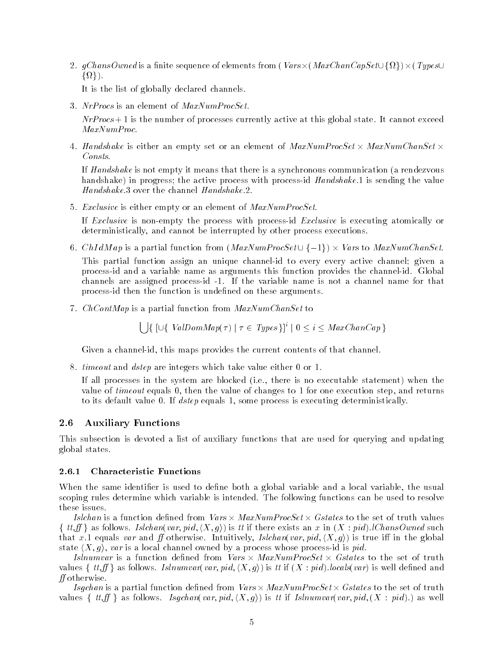2.  $gChansOwned$  is a finite sequence of elements from (  $Vars \times (MaxChanCapSet \cup \{\Omega\}) \times (Types \cup$  $\{\Omega\}\big).$ 

It is the list of globally declared channels.

3. NrProcs is an element of  $MaxNumProcSet$ .

 $NrProcs + 1$  is the number of processes currently active at this global state. It cannot exceed MaxNumProc.

4. Handshake is either an empty set or an element of MaxNumProcSet  $\times$  MaxNumChanSet  $\times$ Consts.

If Handshake is not empty it means that there is a synchronous communication (a rendezvous handshake) in progress; the active process with process-id *Handshake*.1 is sending the value Handshake.3 over the channel Handshake.2.

5. Exclusive is either empty or an element of  $MaxNumProcSet$ .

If Exclusive is non-empty the process with process-id Exclusive is executing atomically or deterministically, and cannot be interrupted by other process executions.

6. *ChIdMap* is a partial function from  $\left( \textit{MaxNumProcSet} \cup \{-1\} \right) \times \textit{Vars}$  to  $\textit{MaxNumCharSet}.$ 

This partial function assign an unique channel-id to every every active channel; given a process-id and a variable name as arguments this function provides the channel-id. Global channels are assigned process-id -1. If the variable name is not a channel name for that process-id then the function is undefined on these arguments.

7. ChContMap is a partial function from MaxNumChanSet to

 $\left[\right] \left\{ \left[\cup \left\{\right. ValDomMap(\tau) \mid \tau \in \textit{Types}\right\} \right]^{i} \mid 0 \leq i \leq \textit{MaxChanCap} \right\}$ 

Given a channel-id, this maps provides the current contents of that channel.

8. timeout and dstep are integers which take value either 0 or 1.

If all processes in the system are blocked (i.e., there is no executable statement) when the value of timeout equals 0, then the value of changes to 1 for one execution step, and returns to its default value 0. If dstep equals 1, some process is executing deterministically.

#### 2.6 **Auxiliary Functions**

This subsection is devoted a list of auxiliary functions that are used for querying and updating global states.

### 2.6.1 Characteristic Functions

When the same identifier is used to define both a global variable and a local variable, the usual scoping rules determine which variable is intended. The following functions can be used to resolve these issues.

Islchan is a function defined from  $Vars \times MaxNumProcSet \times Gstates$  to the set of truth values  $\{tt, tf\}$  as follows. Islchan(var, pid,  $(X, g)$ ) is tt if there exists an x in  $(X : pid)$ . ChansOwned such that x.1 equals var and ff otherwise. Intuitively, Islchan(var, pid,  $\langle X, q \rangle$ ) is true iff in the global state  $\langle X, g \rangle$ , var is a local channel owned by a process whose process-id is pid.

Islnumvar is a function defined from Vars  $\times$  MaxNumProcSet  $\times$  Gstates to the set of truth values  $\{~tt,f\}$  as follows. Islnumvar(var, pid,  $\langle X,g \rangle$ ) is tt if  $(X:pid)$ . locals(var) is well defined and  $f$  otherwise.

Isgchan is a partial function defined from  $\mathit{Vars} \times \mathit{MaxNumProcSet} \times \mathit{Gstates}$  to the set of truth values  $\{~tt,f\}$  as follows. Isgchan(var, pid,  $\langle X,g \rangle$ ) is tt if Islnumvar(var, pid,  $(X : pid)$ .) as well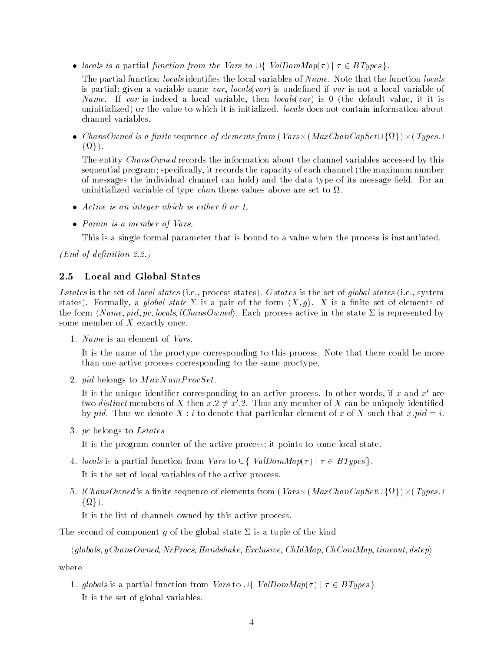• locals is a partial function from the Vars to  $\cup \{$  ValDomMap( $\tau$ )  $\mid \tau \in BTypes$ .

The partial function *locals* identifies the local variables of *Name*. Note that the function *locals* is partial; given a variable name var, locals (var) is undefined if var is not a local variable of Name. If var is indeed a local variable, then  $locals(var)$  is 0 (the default value, it it is uninitialized) or the value to which it is initialized. locals does not contain information about channel variables.

 $\bullet$  ChansOwned is a finite sequence of elements from ( Vars $\times$  ( MaxChanCapSet $\cup$  { $\Omega$  } )  $\times$  ( Types $\cup$  $\{\Omega\}\big).$ 

The entity ChansOwned records the information about the channel variables accessed by this sequential program; specically, it records the capacity of each channel (the maximum number of messages the individual channel can hold) and the data type of its message field. For an uninitialized variable of type chan these values above are set to .

- $\bullet$  Active is an integer which is either 0 or 1.
- Param is a member of Vars.

This is a single formal parameter that is bound to a value when the process is instantiated.

 $(End\ of\ definition\ 2.2.)$ 

### 2.5 Local and Global States

Lstates is the set of local states (i.e., process states). Gstates is the set of global states (i.e., system states). Formally, a global state  $\Sigma$  is a pair of the form  $\langle X, g \rangle$ . X is a finite set of elements of the form  $\langle Name, pid, pc, \text{locals}, \text{lChansOwned} \rangle$ . Each process active in the state  $\Sigma$  is represented by some member of  $X$  exactly once.

1. Name is an element of Vars.

It is the name of the proctype corresponding to this process. Note that there could be more than one active process corresponding to the same proctype.

2. pid belongs to  $MaxNumProcSet$ .

It is the unique identifier corresponding to an active process. In other words, if  $x$  and  $x'$  are two *distinct* members of X then  $x \cdot 2 \neq x' \cdot 2$ . Thus any member of X can be uniquely identified by pid. Thus we denote X : i to denote that particular element of x of X such that x:pid = i.

3. pc belongs to Lstates

It is the program counter of the active process; it points to some local state.

4. locals is a partial function from Vars to  $\cup \{$  ValDomMap( $\tau$ )  $\mid \tau \in BTypes \}.$ 

It is the set of local variables of the active process.

5. *lChansOwned* is a finite sequence of elements from (  $Vars \times (MaxChanCapSet \cup \{\Omega\}) \times (Types \cup$  $\{\Omega\}\big).$ 

It is the list of channels owned by this active process.

The second of component q of the global state  $\Sigma$  is a tuple of the kind

 $\langle global, qChansOwned, NrProcs, Handshake, Exclusive, ChIdMap, ChContMap, timeout, dstep \rangle$ 

where

1. globals is a partial function from Vars to  $\cup \{$  ValDomMap( $\tau$ )  $\mid \tau \in BTypes \}$ It is the set of global variables.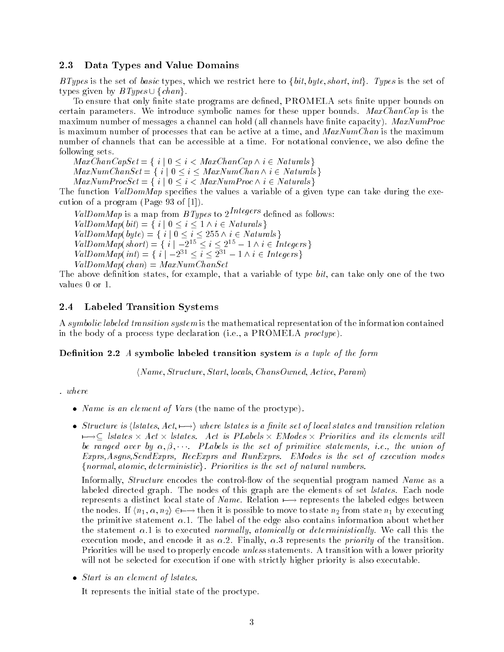### 2.3 Data Types and Value Domains

BTypes is the set of basic types, which we restrict here to  $\{bit, byte, short, int\}$ . Types is the set of types given by  $BTypes \cup \{chan\}.$ 

To ensure that only finite state programs are defined,  $\rm{PROMELA}$  sets finite upper bounds on certain parameters. We introduce symbolic names for these upper bounds.  $MaxChanCap$  is the maximum number of messages a channel can hold (all channels have finite capacity).  $MaxNumProc$ is maximum number of processes that can be active at a time, and  $MaxNumChan$  is the maximum number of channels that can be accessible at a time. For notational convience, we also define the following sets.

 $MaxChanCapSet = \{ i \mid 0 \leq i < MaxChanCap \land i \in Natural \}$  $MaxNumChanSet = \{ i \mid 0 \le i \le MaxNumChan \wedge i \in Natural \}$  $MaxNumProcSet = \{ i \mid 0 \leq i \leq MaxNumProc \wedge i \in Naturals \}$ 

The function ValDomMap specifies the values a variable of a given type can take during the execution of a program (Page 93 of [1]).

ValDomMap is a map from BTypes to  $2^{Integers}$  defined as follows:  $ValDomMap(bit) = \{ i \mid 0 \le i \le 1 \land i \in Naturals \}$  $ValDomMap(byte) = \{ i \mid 0 \le i \le 255 \land i \in Naturals \}$  $ValDomMap(short) = \{ i \mid -2^{15} \le i \le 2^{15} - 1 \land i \in Integers \}$  $ValDomMap(int) = \{ i \mid -2^{31} \le i \le 2^{31} - 1 \land i \in Integers \}$  $ValDomMap(chan) = MaxNumChanset$ 

The above definition states, for example, that a variable of type bit, can take only one of the two values 0 or 1.

### 2.4 Labeled Transition Systems

A symbolic labeled transition system is the mathematical representation of the information contained in the body of a process type declaration (i.e., a PROMELA proctype).

Definition 2.2 A symbolic labeled transition system is a tuple of the form

 $\langle Name, Structure, Start, locales, ChangOwned, Active, Param \rangle$ 

 $. where$ 

- $\bullet$  *Name is an element of vars* (the name of the proctype).
- Structure is  $\langle$  lstates, Act,  $\longmapsto$   $\rangle$  where lstates is a finite set of local states and transition relation  $\rightarrow \subseteq$  lstates  $\times$  Act  $\times$  lstates. Act is PLabels  $\times$  EModes  $\times$  Priorities and its elements will be ranged over by  $\alpha, \beta, \cdots$ . PLabels is the set of primitive statements, i.e., the union of Exprs,Asgns,SendExprs, RecExprs and RunExprs. EModes is the set of execution modes  ${normal, atomic, deterministic}.$  Priorities is the set of natural numbers.

Informally, *Structure* encodes the control-flow of the sequential program named Name as a labeled directed graph. The nodes of this graph are the elements of set *lstates*. Each node represents a distinct local state of Name. Relation  $\rightarrow$  represents the labeled edges between the nodes. If  $\langle n_1, \alpha, n_2 \rangle \in \rightarrow$  then it is possible to move to state  $n_2$  from state  $n_1$  by executing the primitive statement  $\alpha.1$ . The label of the edge also contains information about whether the statement  $\alpha.1$  is to executed normally, atomically or deterministically. We call this the execution mode, and encode it as  $\alpha$ . Finally,  $\alpha$ . Performance the priority of the transition. Priorities will be used to properly encode *unless* statements. A transition with a lower priority will not be selected for execution if one with strictly higher priority is also executable.

 $\bullet$  Start is an element of istates.

It represents the initial state of the proctype.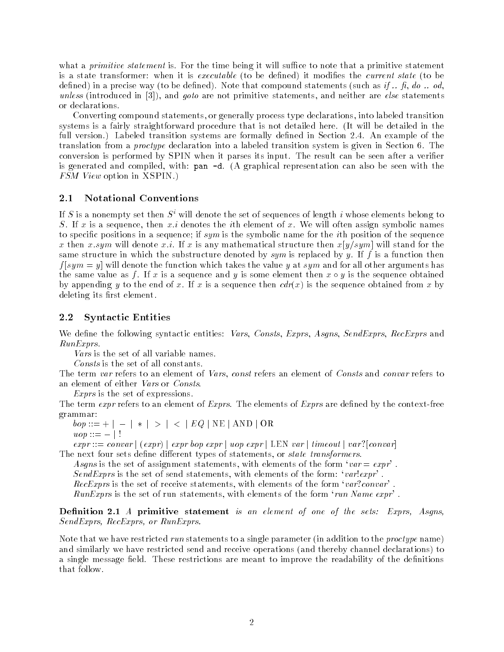what a *primitive statement* is. For the time being it will suffice to note that a primitive statement is a state transformer: when it is *executable* (to be defined) it modifies the *current state* (to be defined) in a precise way (to be defined). Note that compound statements (such as if  $\ldots$  fi, do  $\ldots$  od, unless (introduced in [3]), and goto are not primitive statements, and neither are else statements or declarations.

Converting compound statements, or generally process type declarations, into labeled transition systems is a fairly straightforward procedure that is not detailed here. (It will be detailed in the full version.) Labeled transition systems are formally defined in Section 2.4. An example of the translation from a proctype declaration into a labeled transition system is given in Section 6. The conversion is performed by SPIN when it parses its input. The result can be seen after a verifier is generated and compiled, with: pan -d. (A graphical representation can also be seen with the FSM View option in XSPIN.)

### 2.1 Notational Conventions

If S is a nonempty set then  $S<sup>i</sup>$  will denote the set of sequences of length i whose elements belong to S. If x is a sequence, then  $x.i$  denotes the *i*th element of x. We will often assign symbolic names to specific positions in a sequence; if  $sym$  is the symbolic name for the *i*th position of the sequence x:stight will differ will denote with the will have mathematical structure the wild state in the state the sta same structure in which the substructure denoted by sym is replaced by y. If f is a function then f [sym = y] will denote the function which takes the value <sup>y</sup> at sym and for all other arguments has the same value as f. If x is a sequence and y is some element then  $x \circ y$  is the sequence obtained by appending y to the end of x. If x is a sequence then  $cdr(x)$  is the sequence obtained from x by deleting its first element.

### 2.2 Syntactic Entities

We define the following syntactic entities: Vars, Consts, Exprs, Asgns, SendExprs, RecExprs and RunExprs.

Vars is the set of all variable names.

Consts is the set of all constants.

The term var refers to an element of Vars, const refers an element of Consts and convar refers to an element of either Vars or Consts.

Exprs is the set of expressions.

The term *expr* refers to an element of *Exprs*. The elements of *Exprs* are defined by the context-free grammar:

 $bop ::= + \vert - \vert * \vert > \vert < \vert EQ \vert \text{ NE} \vert \text{ AND } \vert \text{ OR }$  $\vert \textit{uop} \textit{ ::= } - \textit{ } \vert$  !

 $expr ::= convex \mid (expr) \mid expr \; loop \; expr \mid uop \; expr \mid LEN \; var \mid timeout \mid var?[convar]$ The next four sets define different types of statements, or *state transformers*.

Asgns is the set of assignment statements, with elements of the form  $var = expr$ . SendExprs is the set of send statements, with elements of the form:  $var!expr'$ .

RecExprs is the set of receive statements, with elements of the form  $\lq var:convar'$ .

 $RunExpress$  is the set of run statements, with elements of the form 'run Name  $expr$ '.

Definition 2.1 A primitive statement is an element of one of the sets: Exprs, Asgns, SendExprs, RecExprs, or RunExprs.

Note that we have restricted run statements to a single parameter (in addition to the *proctype* name) and similarly we have restricted send and receive operations (and thereby channel declarations) to a single message field. These restrictions are meant to improve the readability of the definitions that follow.